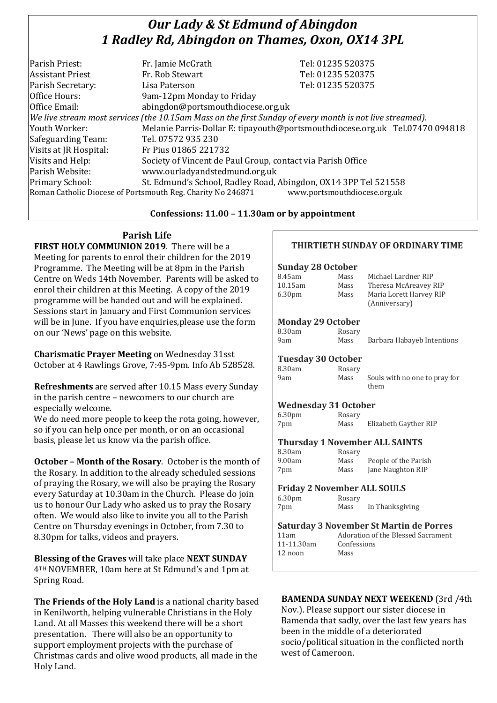# *Our Lady & St Edmund of Abingdon 1 Radley Rd, Abingdon on Thames, Oxon, OX14 3PL*

| Parish Priest:          | Fr. Jamie McGrath                                                                                        | Tel: 01235 520375                                                            |
|-------------------------|----------------------------------------------------------------------------------------------------------|------------------------------------------------------------------------------|
| <b>Assistant Priest</b> | Fr. Rob Stewart                                                                                          | Tel: 01235 520375                                                            |
| Parish Secretary:       | Lisa Paterson                                                                                            | Tel: 01235 520375                                                            |
| Office Hours:           | 9am-12pm Monday to Friday                                                                                |                                                                              |
| Office Email:           | abingdon@portsmouthdiocese.org.uk                                                                        |                                                                              |
|                         | We live stream most services (the 10.15am Mass on the first Sunday of every month is not live streamed). |                                                                              |
| Youth Worker:           |                                                                                                          | Melanie Parris-Dollar E: tipayouth@portsmouthdiocese.org.uk Tel.07470 094818 |
| Safeguarding Team:      | Tel. 07572 935 230                                                                                       |                                                                              |
| Visits at JR Hospital:  | Fr Pius 01865 221732                                                                                     |                                                                              |
| Visits and Help:        | Society of Vincent de Paul Group, contact via Parish Office                                              |                                                                              |
| Parish Website:         | www.ourladyandstedmund.org.uk                                                                            |                                                                              |
| Primary School:         | St. Edmund's School, Radley Road, Abingdon, OX14 3PP Tel 521558                                          |                                                                              |
|                         | Roman Catholic Diocese of Portsmouth Reg. Charity No 246871                                              | www.portsmouthdiocese.org.uk                                                 |

### **Confessions: 11.00 – 11.30am or by appointment**

### **Parish Life**

**FIRST HOLY COMMUNION 2019**. There will be a Meeting for parents to enrol their children for the 2019 Programme. The Meeting will be at 8pm in the Parish Centre on Weds 14th November. Parents will be asked to enrol their children at this Meeting. A copy of the 2019 programme will be handed out and will be explained. Sessions start in January and First Communion services will be in June. If you have enquiries,please use the form on our 'News' page on this website.

**Charismatic Prayer Meeting** on Wednesday 31sst October at 4 Rawlings Grove, 7:45-9pm. Info Ab 528528.

**Refreshments** are served after 10.15 Mass every Sunday in the parish centre – newcomers to our church are especially welcome.

We do need more people to keep the rota going, however, so if you can help once per month, or on an occasional basis, please let us know via the parish office.

**October – Month of the Rosary**. October is the month of the Rosary. In addition to the already scheduled sessions of praying the Rosary, we will also be praying the Rosary every Saturday at 10.30am in the Church. Please do join us to honour Our Lady who asked us to pray the Rosary often. We would also like to invite you all to the Parish Centre on Thursday evenings in October, from 7.30 to 8.30pm for talks, videos and prayers.

**Blessing of the Graves** will take place **NEXT SUNDAY** 4TH NOVEMBER, 10am here at St Edmund's and 1pm at Spring Road.

**The Friends of the Holy Land** is a national charity based in Kenilworth, helping vulnerable Christians in the Holy Land. At all Masses this weekend there will be a short presentation. There will also be an opportunity to support employment projects with the purchase of Christmas cards and olive wood products, all made in the Holy Land.

### **THIRTIETH SUNDAY OF ORDINARY TIME**

### **Sunday 28 October**

| 8.45am             | Mass | Michael Lardner RIP     |
|--------------------|------|-------------------------|
| 10.15am            | Mass | Theresa McAreavey RIP   |
| 6.30 <sub>pm</sub> | Mass | Maria Lorett Harvey RIP |
|                    |      | (Anniversary)           |

### **Monday 29 October**

| 8.30am | Rosary |                            |
|--------|--------|----------------------------|
| 9am    | Mass   | Barbara Habayeb Intentions |

### **Tuesday 30 October**

| 8.30am | Rosary |                                       |
|--------|--------|---------------------------------------|
| 9am    | Mass   | Souls with no one to pray for<br>them |

### **Wednesday 31 October**

 $9.00$ am 7pm Mass Jane Naughton RIP

| 6.30 <sub>pm</sub> | Rosary |                       |
|--------------------|--------|-----------------------|
| 7pm                | Mass   | Elizabeth Gayther RIP |

### **Thursday 1 November ALL SAINTS** 8.30am Rosary

| <b>IVOJULY</b> |                      |
|----------------|----------------------|
| Mass           | People of the Parish |
| Mass           | Jane Naughton RIP    |

### **Friday 2 November ALL SOULS**

6.30pm Rosary 7pm Mass In Thanksgiving

| <b>Saturday 3 November St Martin de Porres</b> |                                    |  |
|------------------------------------------------|------------------------------------|--|
| 11am                                           | Adoration of the Blessed Sacrament |  |
| 11-11.30am                                     | Confessions                        |  |
| 12 noon                                        | Mass                               |  |

### **BAMENDA SUNDAY NEXT WEEKEND** (3rd /4th

Nov.). Please support our sister diocese in Bamenda that sadly, over the last few years has been in the middle of a deteriorated socio/political situation in the conflicted north west of Cameroon.